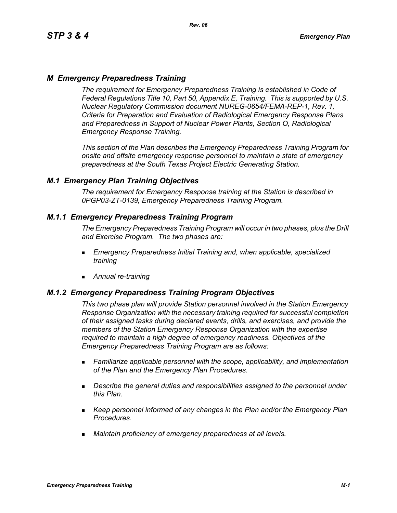# *M Emergency Preparedness Training*

*The requirement for Emergency Preparedness Training is established in Code of Federal Regulations Title 10, Part 50, Appendix E, Training. This is supported by U.S. Nuclear Regulatory Commission document NUREG-0654/FEMA-REP-1, Rev. 1, Criteria for Preparation and Evaluation of Radiological Emergency Response Plans and Preparedness in Support of Nuclear Power Plants, Section O, Radiological Emergency Response Training.*

*This section of the Plan describes the Emergency Preparedness Training Program for onsite and offsite emergency response personnel to maintain a state of emergency preparedness at the South Texas Project Electric Generating Station.*

## *M.1 Emergency Plan Training Objectives*

*The requirement for Emergency Response training at the Station is described in 0PGP03-ZT-0139, Emergency Preparedness Training Program.*

## *M.1.1 Emergency Preparedness Training Program*

*The Emergency Preparedness Training Program will occur in two phases, plus the Drill and Exercise Program. The two phases are:*

- *Emergency Preparedness Initial Training and, when applicable, specialized training*
- *Annual re-training*

## *M.1.2 Emergency Preparedness Training Program Objectives*

*This two phase plan will provide Station personnel involved in the Station Emergency Response Organization with the necessary training required for successful completion of their assigned tasks during declared events, drills, and exercises, and provide the members of the Station Emergency Response Organization with the expertise required to maintain a high degree of emergency readiness. Objectives of the Emergency Preparedness Training Program are as follows:*

- *Familiarize applicable personnel with the scope, applicability, and implementation of the Plan and the Emergency Plan Procedures.*
- *Describe the general duties and responsibilities assigned to the personnel under this Plan.*
- *Keep personnel informed of any changes in the Plan and/or the Emergency Plan Procedures.*
- *Maintain proficiency of emergency preparedness at all levels.*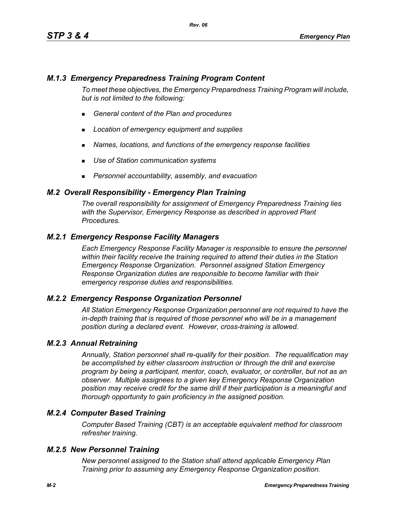# *M.1.3 Emergency Preparedness Training Program Content*

*To meet these objectives, the Emergency Preparedness Training Program will include, but is not limited to the following:*

- *General content of the Plan and procedures*
- *Location of emergency equipment and supplies*
- *Names, locations, and functions of the emergency response facilities*
- *Use of Station communication systems*
- *Personnel accountability, assembly, and evacuation*

## *M.2 Overall Responsibility - Emergency Plan Training*

*The overall responsibility for assignment of Emergency Preparedness Training lies with the Supervisor, Emergency Response as described in approved Plant Procedures.*

## *M.2.1 Emergency Response Facility Managers*

*Each Emergency Response Facility Manager is responsible to ensure the personnel within their facility receive the training required to attend their duties in the Station Emergency Response Organization. Personnel assigned Station Emergency Response Organization duties are responsible to become familiar with their emergency response duties and responsibilities.*

#### *M.2.2 Emergency Response Organization Personnel*

*All Station Emergency Response Organization personnel are not required to have the in-depth training that is required of those personnel who will be in a management position during a declared event. However, cross-training is allowed.*

#### *M.2.3 Annual Retraining*

*Annually, Station personnel shall re-qualify for their position. The requalification may be accomplished by either classroom instruction or through the drill and exercise program by being a participant, mentor, coach, evaluator, or controller, but not as an observer. Multiple assignees to a given key Emergency Response Organization position may receive credit for the same drill if their participation is a meaningful and thorough opportunity to gain proficiency in the assigned position.*

## *M.2.4 Computer Based Training*

*Computer Based Training (CBT) is an acceptable equivalent method for classroom refresher training.*

#### *M.2.5 New Personnel Training*

*New personnel assigned to the Station shall attend applicable Emergency Plan Training prior to assuming any Emergency Response Organization position.*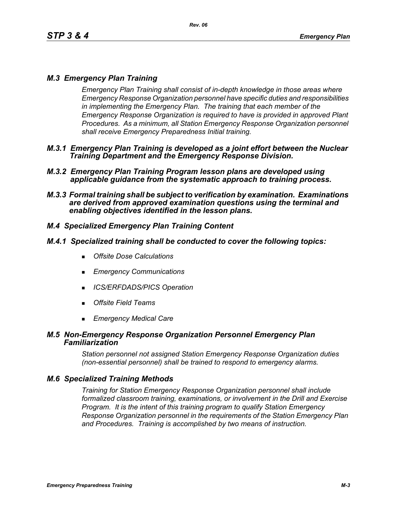# *M.3 Emergency Plan Training*

*Emergency Plan Training shall consist of in-depth knowledge in those areas where Emergency Response Organization personnel have specific duties and responsibilities in implementing the Emergency Plan. The training that each member of the Emergency Response Organization is required to have is provided in approved Plant Procedures. As a minimum, all Station Emergency Response Organization personnel shall receive Emergency Preparedness Initial training.*

- *M.3.1 Emergency Plan Training is developed as a joint effort between the Nuclear Training Department and the Emergency Response Division.*
- *M.3.2 Emergency Plan Training Program lesson plans are developed using applicable guidance from the systematic approach to training process.*
- *M.3.3 Formal training shall be subject to verification by examination. Examinations are derived from approved examination questions using the terminal and enabling objectives identified in the lesson plans.*

# *M.4 Specialized Emergency Plan Training Content*

## *M.4.1 Specialized training shall be conducted to cover the following topics:*

- *Offsite Dose Calculations*
- *Emergency Communications*
- *ICS/ERFDADS/PICS Operation*
- *Offsite Field Teams*
- *Emergency Medical Care*

#### *M.5 Non-Emergency Response Organization Personnel Emergency Plan Familiarization*

*Station personnel not assigned Station Emergency Response Organization duties (non-essential personnel) shall be trained to respond to emergency alarms.*

## *M.6 Specialized Training Methods*

*Training for Station Emergency Response Organization personnel shall include formalized classroom training, examinations, or involvement in the Drill and Exercise Program. It is the intent of this training program to qualify Station Emergency Response Organization personnel in the requirements of the Station Emergency Plan and Procedures. Training is accomplished by two means of instruction.*